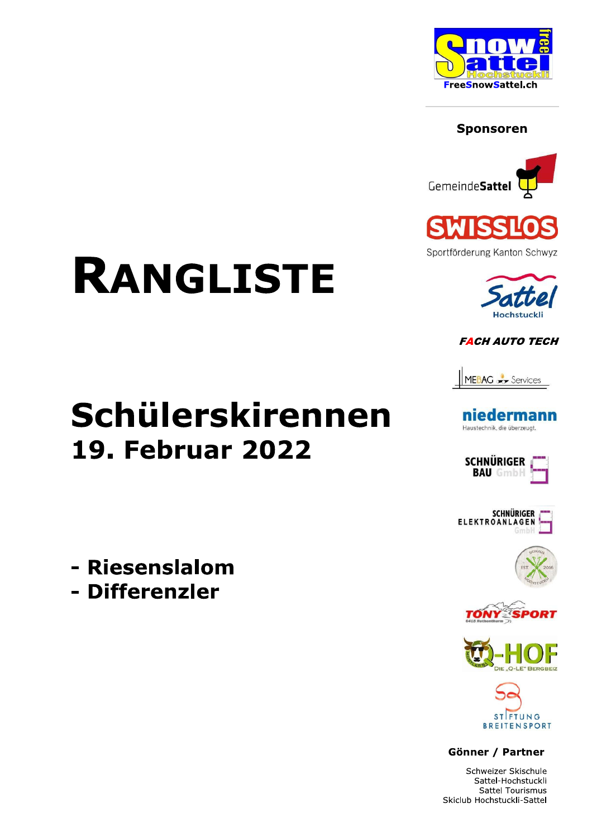

### **Sponsoren**





Sportförderung Kanton Schwyz



### **FACH AUTO TECH**



### niedermann Haustechnik, die überzeugt.













Gönner / Partner

Schweizer Skischule Sattel-Hochstuckli Sattel Tourismus Skiclub Hochstuckli-Sattel

# **RANGLISTE**

# Schülerskirennen **19. Februar 2022**

- Riesenslalom
- Differenzler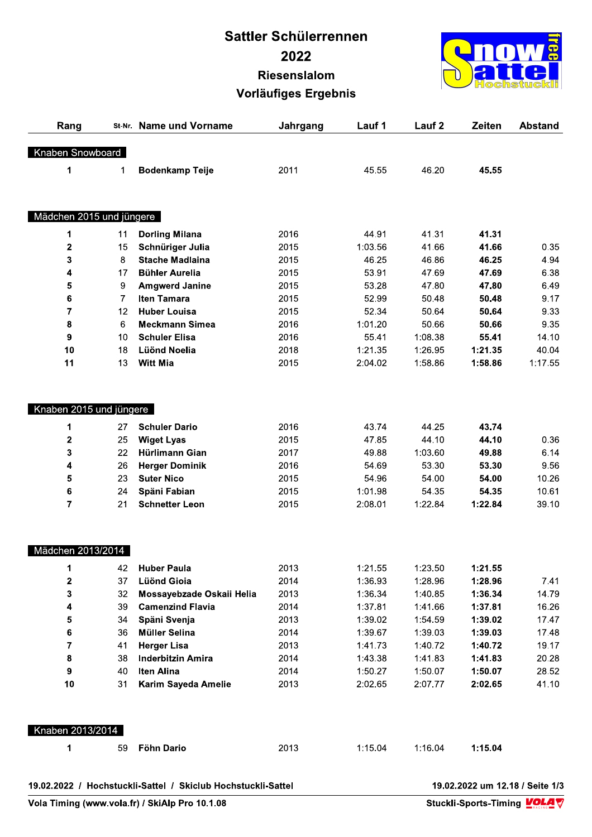## Sattler Schülerrennen 2022 Riesenslalom Vorläufiges Ergebnis



|                          |                |                                                              | Sattler Schülerrennen       |         |                   |         |                                 |
|--------------------------|----------------|--------------------------------------------------------------|-----------------------------|---------|-------------------|---------|---------------------------------|
|                          |                |                                                              | 2022                        |         |                   |         |                                 |
|                          |                |                                                              | <b>Riesenslalom</b>         |         |                   |         |                                 |
|                          |                |                                                              | <b>Vorläufiges Ergebnis</b> |         |                   |         |                                 |
| Rang                     |                | St-Nr. Name und Vorname                                      | Jahrgang                    | Lauf 1  | Lauf <sub>2</sub> | Zeiten  | <b>Abstand</b>                  |
| Knaben Snowboard         |                |                                                              |                             |         |                   |         |                                 |
| 1                        | 1              | <b>Bodenkamp Teije</b>                                       | 2011                        | 45.55   | 46.20             | 45.55   |                                 |
| Mädchen 2015 und jüngere |                |                                                              |                             |         |                   |         |                                 |
| 1                        | 11             | <b>Dorling Milana</b>                                        | 2016                        | 44.91   | 41.31             | 41.31   |                                 |
| $\mathbf 2$              | 15             | Schnüriger Julia                                             | 2015                        | 1:03.56 | 41.66             | 41.66   | 0.35                            |
| 3                        | 8              | <b>Stache Madlaina</b>                                       | 2015                        | 46.25   | 46.86             | 46.25   | 4.94                            |
| 4                        | 17             | <b>Bühler Aurelia</b>                                        | 2015                        | 53.91   | 47.69             | 47.69   | 6.38                            |
| 5                        | 9              | <b>Amgwerd Janine</b>                                        | 2015                        | 53.28   | 47.80             | 47.80   | 6.49                            |
| 6                        | $\overline{7}$ | Iten Tamara                                                  | 2015                        | 52.99   | 50.48             | 50.48   | 9.17                            |
| $\overline{7}$           | 12             | <b>Huber Louisa</b>                                          | 2015                        | 52.34   | 50.64             | 50.64   | 9.33                            |
| 8                        | 6              | <b>Meckmann Simea</b>                                        | 2016                        | 1:01.20 | 50.66             | 50.66   | 9.35                            |
| 9                        | 10             | <b>Schuler Elisa</b>                                         | 2016                        | 55.41   | 1:08.38           | 55.41   | 14.10                           |
| 10                       | 18             | <b>Lüönd Noelia</b>                                          | 2018                        | 1:21.35 | 1:26.95           | 1:21.35 | 40.04                           |
| 11                       | 13             | <b>Witt Mia</b>                                              | 2015                        | 2:04.02 | 1:58.86           | 1:58.86 | 1:17.55                         |
| Knaben 2015 und jüngere  |                |                                                              |                             |         |                   |         |                                 |
| 1                        | 27             | <b>Schuler Dario</b>                                         | 2016                        | 43.74   | 44.25             | 43.74   |                                 |
| $\mathbf 2$              | 25             | <b>Wiget Lyas</b>                                            | 2015                        | 47.85   | 44.10             | 44.10   | 0.36                            |
| 3                        | 22             | Hürlimann Gian                                               | 2017                        | 49.88   | 1:03.60           | 49.88   | 6.14                            |
| 4                        | 26             | <b>Herger Dominik</b>                                        | 2016                        | 54.69   | 53.30             | 53.30   | 9.56                            |
| 5                        | 23             | <b>Suter Nico</b>                                            | 2015                        | 54.96   | 54.00             | 54.00   | 10.26                           |
| 6                        | 24             | Späni Fabian                                                 | 2015                        | 1:01.98 | 54.35             | 54.35   | 10.61                           |
| $\overline{7}$           | 21             | <b>Schnetter Leon</b>                                        | 2015                        | 2:08.01 | 1:22.84           | 1:22.84 | 39.10                           |
| Mädchen 2013/2014        |                |                                                              |                             |         |                   |         |                                 |
| 1                        | 42             | <b>Huber Paula</b>                                           | 2013                        | 1:21.55 | 1:23.50           | 1:21.55 |                                 |
| 2                        | 37             | <b>Lüönd Gioia</b>                                           | 2014                        | 1:36.93 | 1:28.96           | 1:28.96 | 7.41                            |
| 3                        | 32             | Mossayebzade Oskaii Helia                                    | 2013                        | 1:36.34 | 1:40.85           | 1:36.34 | 14.79                           |
| 4                        | 39             | <b>Camenzind Flavia</b>                                      | 2014                        | 1:37.81 | 1:41.66           | 1:37.81 | 16.26                           |
| 5                        | 34             | Späni Svenja                                                 | 2013                        | 1:39.02 | 1:54.59           | 1:39.02 | 17.47                           |
| 6                        | 36             | <b>Müller Selina</b>                                         | 2014                        | 1:39.67 | 1:39.03           | 1:39.03 | 17.48                           |
| $\overline{7}$           | 41             | <b>Herger Lisa</b>                                           | 2013                        | 1:41.73 | 1:40.72           | 1:40.72 | 19.17                           |
| 8                        | 38             | <b>Inderbitzin Amira</b>                                     | 2014                        | 1:43.38 | 1:41.83           | 1:41.83 | 20.28                           |
| 9                        | 40             | <b>Iten Alina</b>                                            | 2014                        | 1:50.27 | 1:50.07           | 1:50.07 | 28.52                           |
| 10                       | 31             | Karim Sayeda Amelie                                          | 2013                        | 2:02.65 | 2:07.77           | 2:02.65 | 41.10                           |
| Knaben 2013/2014         |                |                                                              |                             |         |                   |         |                                 |
| 1                        | 59             | Föhn Dario                                                   | 2013                        | 1:15.04 | 1:16.04           | 1:15.04 |                                 |
|                          |                |                                                              |                             |         |                   |         | 19.02.2022 um 12.18 / Seite 1/3 |
|                          |                | 19.02.2022 / Hochstuckli-Sattel / Skiclub Hochstuckli-Sattel |                             |         |                   |         |                                 |

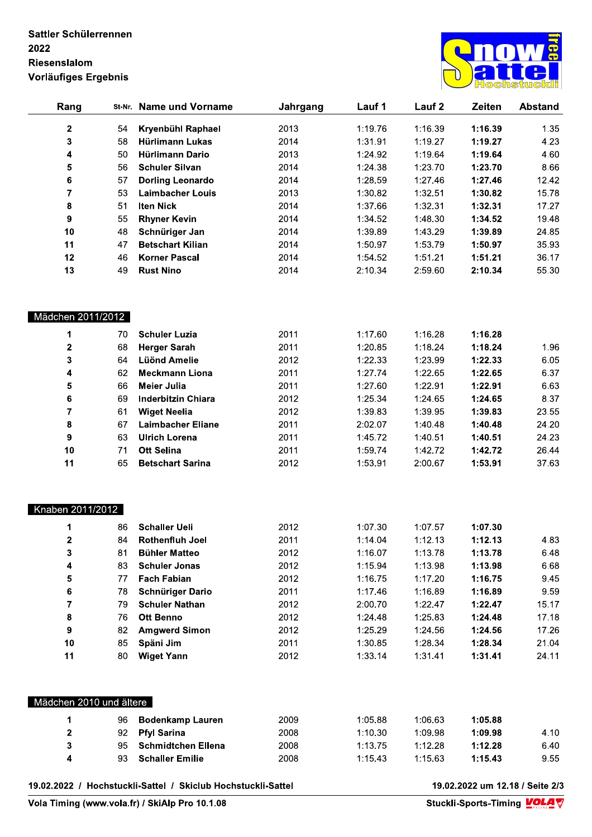### Sattler Schülerrennen 2022 Riesenslalom Vorläufiges Ergebnis



| Rang                    | St-Nr. | <b>Name und Vorname</b>                                      | Jahrgang | Lauf 1  | Lauf <sub>2</sub> | Zeiten  | <b>Abstand</b>                  |
|-------------------------|--------|--------------------------------------------------------------|----------|---------|-------------------|---------|---------------------------------|
| $\mathbf 2$             | 54     | Kryenbühl Raphael                                            | 2013     | 1:19.76 | 1:16.39           | 1:16.39 | 1.35                            |
| 3                       | 58     | Hürlimann Lukas                                              | 2014     | 1:31.91 | 1:19.27           | 1:19.27 | 4.23                            |
| 4                       | 50     | <b>Hürlimann Dario</b>                                       | 2013     | 1:24.92 | 1:19.64           | 1:19.64 | 4.60                            |
| 5                       | 56     | <b>Schuler Silvan</b>                                        | 2014     | 1:24.38 | 1:23.70           | 1:23.70 | 8.66                            |
| 6                       | 57     | <b>Dorling Leonardo</b>                                      | 2014     | 1:28.59 | 1:27.46           | 1:27.46 | 12.42                           |
| $\overline{\mathbf{7}}$ | 53     | <b>Laimbacher Louis</b>                                      | 2013     | 1:30.82 | 1:32.51           | 1:30.82 | 15.78                           |
| 8                       | 51     | <b>Iten Nick</b>                                             | 2014     | 1:37.66 | 1:32.31           | 1:32.31 | 17.27                           |
| 9                       | 55     | <b>Rhyner Kevin</b>                                          | 2014     | 1:34.52 | 1:48.30           | 1:34.52 | 19.48                           |
| 10                      | 48     | Schnüriger Jan                                               | 2014     | 1:39.89 | 1:43.29           | 1:39.89 | 24.85                           |
| 11                      | 47     | <b>Betschart Kilian</b>                                      | 2014     | 1:50.97 | 1:53.79           | 1:50.97 | 35.93                           |
| 12                      | 46     | <b>Korner Pascal</b>                                         | 2014     | 1:54.52 | 1:51.21           | 1:51.21 | 36.17                           |
| 13                      | 49     | <b>Rust Nino</b>                                             | 2014     | 2:10.34 | 2:59.60           | 2:10.34 | 55.30                           |
|                         |        |                                                              |          |         |                   |         |                                 |
| Mädchen 2011/2012       |        |                                                              |          |         |                   |         |                                 |
| 1                       | 70     | <b>Schuler Luzia</b>                                         | 2011     | 1:17.60 | 1:16.28           | 1:16.28 |                                 |
| $\mathbf 2$             | 68     | <b>Herger Sarah</b>                                          | 2011     | 1:20.85 | 1:18.24           | 1:18.24 | 1.96                            |
| 3                       | 64     | <b>Lüönd Amelie</b>                                          | 2012     | 1:22.33 | 1:23.99           | 1:22.33 | 6.05                            |
| 4                       | 62     | <b>Meckmann Liona</b>                                        | 2011     | 1:27.74 | 1:22.65           | 1:22.65 | 6.37                            |
| 5                       | 66     | <b>Meier Julia</b>                                           | 2011     | 1:27.60 | 1:22.91           | 1:22.91 | 6.63                            |
| $\bf 6$                 | 69     | <b>Inderbitzin Chiara</b>                                    | 2012     | 1:25.34 | 1:24.65           | 1:24.65 | 8.37                            |
| $\overline{7}$          | 61     | <b>Wiget Neelia</b>                                          | 2012     | 1:39.83 | 1:39.95           | 1:39.83 | 23.55                           |
| 8                       | 67     | <b>Laimbacher Eliane</b>                                     | 2011     | 2:02.07 | 1:40.48           | 1:40.48 | 24.20                           |
| 9                       | 63     | <b>Ulrich Lorena</b>                                         | 2011     | 1:45.72 | 1:40.51           | 1:40.51 | 24.23                           |
| 10                      | 71     | <b>Ott Selina</b>                                            | 2011     | 1:59.74 | 1:42.72           | 1:42.72 | 26.44                           |
| 11                      | 65     | <b>Betschart Sarina</b>                                      | 2012     | 1:53.91 | 2:00.67           | 1:53.91 | 37.63                           |
| Knaben 2011/2012        |        |                                                              |          |         |                   |         |                                 |
| 1                       | 86     | <b>Schaller Ueli</b>                                         | 2012     | 1:07.30 | 1:07.57           | 1:07.30 |                                 |
| $\mathbf 2$             | 84     | <b>Rothenfluh Joel</b>                                       | 2011     | 1:14.04 | 1:12.13           | 1:12.13 | 4.83                            |
| 3                       | 81     | <b>Bühler Matteo</b>                                         | 2012     | 1:16.07 | 1:13.78           | 1:13.78 | 6.48                            |
| 4                       | 83     | <b>Schuler Jonas</b>                                         | 2012     | 1:15.94 | 1:13.98           | 1:13.98 | 6.68                            |
| 5                       | 77     | <b>Fach Fabian</b>                                           | 2012     | 1:16.75 | 1:17.20           | 1:16.75 | 9.45                            |
| 6                       | 78     | <b>Schnüriger Dario</b>                                      | 2011     | 1:17.46 | 1:16.89           | 1:16.89 | 9.59                            |
| 7                       | 79     | <b>Schuler Nathan</b>                                        | 2012     | 2:00.70 | 1:22.47           | 1:22.47 | 15.17                           |
| 8                       | 76     | <b>Ott Benno</b>                                             | 2012     | 1:24.48 | 1:25.83           | 1:24.48 | 17.18                           |
| 9                       | 82     | <b>Amgwerd Simon</b>                                         | 2012     | 1:25.29 | 1:24.56           | 1:24.56 | 17.26                           |
| 10                      | 85     | Späni Jim                                                    | 2011     | 1:30.85 | 1:28.34           | 1:28.34 | 21.04                           |
| 11                      | 80     | <b>Wiget Yann</b>                                            | 2012     | 1:33.14 | 1:31.41           | 1:31.41 | 24.11                           |
|                         |        |                                                              |          |         |                   |         |                                 |
| Mädchen 2010 und ältere |        |                                                              |          |         |                   |         |                                 |
| 1                       | 96     | <b>Bodenkamp Lauren</b>                                      | 2009     | 1:05.88 | 1:06.63           | 1:05.88 |                                 |
| $\mathbf 2$             | 92     | <b>Pfyl Sarina</b>                                           | 2008     | 1:10.30 | 1:09.98           | 1:09.98 | 4.10                            |
| $\mathbf{3}$            | 95     | <b>Schmidtchen Ellena</b>                                    | 2008     | 1:13.75 | 1:12.28           | 1:12.28 | 6.40                            |
| 4                       | 93     | <b>Schaller Emilie</b>                                       | 2008     | 1:15.43 | 1:15.63           | 1:15.43 | 9.55                            |
|                         |        | 19.02.2022 / Hochstuckli-Sattel / Skiclub Hochstuckli-Sattel |          |         |                   |         | 19.02.2022 um 12.18 / Seite 2/3 |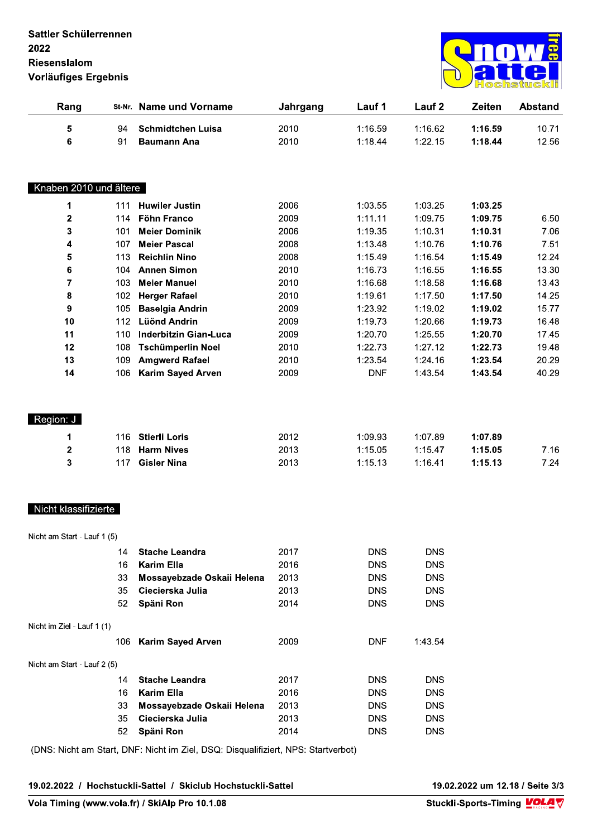

| Lauf 1<br>Lauf 2<br>Zeiten<br>Rang<br>St-Nr. Name und Vorname<br>Jahrgang<br>5<br>1:16.59<br>1:16.62<br><b>Schmidtchen Luisa</b><br>2010<br>1:16.59<br>94<br>$\bf 6$<br>2010<br>1:18.44<br>1:22.15<br>1:18.44<br>91<br><b>Baumann Ana</b><br>Knaben 2010 und ältere<br>2006<br>1:03.55<br>1:03.25<br>1:03.25<br>1<br><b>Huwiler Justin</b><br>111<br>$\mathbf 2$<br>2009<br>1:11.11<br>1:09.75<br>1:09.75<br>Föhn Franco<br>114<br>3<br><b>Meier Dominik</b><br>2006<br>1:19.35<br>1:10.31<br>1:10.31<br>101<br><b>Meier Pascal</b><br>2008<br>1:10.76<br>4<br>107<br>1:13.48<br>1:10.76<br>5<br><b>Reichlin Nino</b><br>2008<br>1:15.49<br>1:16.54<br>1:15.49<br>113<br>6<br><b>Annen Simon</b><br>2010<br>1:16.73<br>1:16.55<br>1:16.55<br>104<br>$\overline{7}$<br><b>Meier Manuel</b><br>2010<br>1:16.68<br>1:18.58<br>1:16.68<br>103<br>2010<br>1:17.50<br>8<br><b>Herger Rafael</b><br>1:19.61<br>1:17.50<br>102<br>9<br>2009<br>1:23.92<br>1:19.02<br>105<br><b>Baselgia Andrin</b><br>1:19.02<br>10<br><b>Lüönd Andrin</b><br>2009<br>1:19.73<br>1:20.66<br>1:19.73<br>112<br>1:20.70<br>11<br><b>Inderbitzin Gian-Luca</b><br>2009<br>1:20.70<br>1:25.55<br>110<br>1:22.73<br>12<br>2010<br>1:22.73<br>1:27.12<br>108<br><b>Tschümperlin Noel</b><br>13<br><b>Amgwerd Rafael</b><br>2010<br>1:23.54<br>109<br>1:23.54<br>1:24.16<br>14<br><b>Karim Sayed Arven</b><br>2009<br><b>DNF</b><br>1:43.54<br>1:43.54<br>106<br>Region: J<br><b>Stierli Loris</b><br>2012<br>1:09.93<br>1:07.89<br>1:07.89<br>1<br>116<br>$\mathbf 2$<br>2013<br>118<br><b>Harm Nives</b><br>1:15.05<br>1:15.47<br>1:15.05<br><b>Gisler Nina</b><br>3<br>1:15.13<br>1:16.41<br>117<br>2013<br>1:15.13<br>Nicht klassifizierte<br>Nicht am Start - Lauf 1 (5)<br>2017<br><b>DNS</b><br><b>DNS</b><br>14<br><b>Stache Leandra</b><br><b>Karim Ella</b><br>2016<br><b>DNS</b><br>16<br><b>DNS</b><br>Mossayebzade Oskaii Helena<br>2013<br><b>DNS</b><br><b>DNS</b><br>33<br>Ciecierska Julia<br>2013<br>35<br><b>DNS</b><br><b>DNS</b><br>2014<br><b>DNS</b><br>52<br>Späni Ron<br><b>DNS</b><br>Nicht im Ziel - Lauf 1 (1)<br>Karim Sayed Arven<br>2009<br><b>DNF</b><br>1:43.54<br>106<br>Nicht am Start - Lauf 2 (5)<br><b>Stache Leandra</b><br>2017<br><b>DNS</b><br><b>DNS</b><br>14<br><b>Karim Ella</b><br>2016<br><b>DNS</b><br>16<br><b>DNS</b><br>2013<br><b>DNS</b><br>33<br>Mossayebzade Oskaii Helena<br><b>DNS</b><br>2013<br><b>DNS</b><br>35<br>Ciecierska Julia<br><b>DNS</b><br>2014<br>52<br>Späni Ron<br><b>DNS</b><br><b>DNS</b><br>(DNS: Nicht am Start, DNF: Nicht im Ziel, DSQ: Disqualifiziert, NPS: Startverbot)<br>19.02.2022 um 12.18 / Seite 3/3<br>19.02.2022 / Hochstuckli-Sattel / Skiclub Hochstuckli-Sattel<br>Stuckli-Sports-Timing VOLA | 2022<br>Riesenslalom<br>Vorläufiges Ergebnis   |  |  |  |  |  |                |
|--------------------------------------------------------------------------------------------------------------------------------------------------------------------------------------------------------------------------------------------------------------------------------------------------------------------------------------------------------------------------------------------------------------------------------------------------------------------------------------------------------------------------------------------------------------------------------------------------------------------------------------------------------------------------------------------------------------------------------------------------------------------------------------------------------------------------------------------------------------------------------------------------------------------------------------------------------------------------------------------------------------------------------------------------------------------------------------------------------------------------------------------------------------------------------------------------------------------------------------------------------------------------------------------------------------------------------------------------------------------------------------------------------------------------------------------------------------------------------------------------------------------------------------------------------------------------------------------------------------------------------------------------------------------------------------------------------------------------------------------------------------------------------------------------------------------------------------------------------------------------------------------------------------------------------------------------------------------------------------------------------------------------------------------------------------------------------------------------------------------------------------------------------------------------------------------------------------------------------------------------------------------------------------------------------------------------------------------------------------------------------------------------------------------------------------------------------------------------------------------------------------------------------------------------------------------------------------------------------------------------------------------------------------------------------------------------------------------------------------------------------------|------------------------------------------------|--|--|--|--|--|----------------|
|                                                                                                                                                                                                                                                                                                                                                                                                                                                                                                                                                                                                                                                                                                                                                                                                                                                                                                                                                                                                                                                                                                                                                                                                                                                                                                                                                                                                                                                                                                                                                                                                                                                                                                                                                                                                                                                                                                                                                                                                                                                                                                                                                                                                                                                                                                                                                                                                                                                                                                                                                                                                                                                                                                                                                              |                                                |  |  |  |  |  | <b>Abstand</b> |
|                                                                                                                                                                                                                                                                                                                                                                                                                                                                                                                                                                                                                                                                                                                                                                                                                                                                                                                                                                                                                                                                                                                                                                                                                                                                                                                                                                                                                                                                                                                                                                                                                                                                                                                                                                                                                                                                                                                                                                                                                                                                                                                                                                                                                                                                                                                                                                                                                                                                                                                                                                                                                                                                                                                                                              |                                                |  |  |  |  |  | 10.71<br>12.56 |
|                                                                                                                                                                                                                                                                                                                                                                                                                                                                                                                                                                                                                                                                                                                                                                                                                                                                                                                                                                                                                                                                                                                                                                                                                                                                                                                                                                                                                                                                                                                                                                                                                                                                                                                                                                                                                                                                                                                                                                                                                                                                                                                                                                                                                                                                                                                                                                                                                                                                                                                                                                                                                                                                                                                                                              |                                                |  |  |  |  |  |                |
|                                                                                                                                                                                                                                                                                                                                                                                                                                                                                                                                                                                                                                                                                                                                                                                                                                                                                                                                                                                                                                                                                                                                                                                                                                                                                                                                                                                                                                                                                                                                                                                                                                                                                                                                                                                                                                                                                                                                                                                                                                                                                                                                                                                                                                                                                                                                                                                                                                                                                                                                                                                                                                                                                                                                                              |                                                |  |  |  |  |  |                |
|                                                                                                                                                                                                                                                                                                                                                                                                                                                                                                                                                                                                                                                                                                                                                                                                                                                                                                                                                                                                                                                                                                                                                                                                                                                                                                                                                                                                                                                                                                                                                                                                                                                                                                                                                                                                                                                                                                                                                                                                                                                                                                                                                                                                                                                                                                                                                                                                                                                                                                                                                                                                                                                                                                                                                              |                                                |  |  |  |  |  | 6.50           |
|                                                                                                                                                                                                                                                                                                                                                                                                                                                                                                                                                                                                                                                                                                                                                                                                                                                                                                                                                                                                                                                                                                                                                                                                                                                                                                                                                                                                                                                                                                                                                                                                                                                                                                                                                                                                                                                                                                                                                                                                                                                                                                                                                                                                                                                                                                                                                                                                                                                                                                                                                                                                                                                                                                                                                              |                                                |  |  |  |  |  | 7.06           |
|                                                                                                                                                                                                                                                                                                                                                                                                                                                                                                                                                                                                                                                                                                                                                                                                                                                                                                                                                                                                                                                                                                                                                                                                                                                                                                                                                                                                                                                                                                                                                                                                                                                                                                                                                                                                                                                                                                                                                                                                                                                                                                                                                                                                                                                                                                                                                                                                                                                                                                                                                                                                                                                                                                                                                              |                                                |  |  |  |  |  | 7.51           |
|                                                                                                                                                                                                                                                                                                                                                                                                                                                                                                                                                                                                                                                                                                                                                                                                                                                                                                                                                                                                                                                                                                                                                                                                                                                                                                                                                                                                                                                                                                                                                                                                                                                                                                                                                                                                                                                                                                                                                                                                                                                                                                                                                                                                                                                                                                                                                                                                                                                                                                                                                                                                                                                                                                                                                              |                                                |  |  |  |  |  | 12.24          |
|                                                                                                                                                                                                                                                                                                                                                                                                                                                                                                                                                                                                                                                                                                                                                                                                                                                                                                                                                                                                                                                                                                                                                                                                                                                                                                                                                                                                                                                                                                                                                                                                                                                                                                                                                                                                                                                                                                                                                                                                                                                                                                                                                                                                                                                                                                                                                                                                                                                                                                                                                                                                                                                                                                                                                              |                                                |  |  |  |  |  | 13.30          |
|                                                                                                                                                                                                                                                                                                                                                                                                                                                                                                                                                                                                                                                                                                                                                                                                                                                                                                                                                                                                                                                                                                                                                                                                                                                                                                                                                                                                                                                                                                                                                                                                                                                                                                                                                                                                                                                                                                                                                                                                                                                                                                                                                                                                                                                                                                                                                                                                                                                                                                                                                                                                                                                                                                                                                              |                                                |  |  |  |  |  | 13.43          |
|                                                                                                                                                                                                                                                                                                                                                                                                                                                                                                                                                                                                                                                                                                                                                                                                                                                                                                                                                                                                                                                                                                                                                                                                                                                                                                                                                                                                                                                                                                                                                                                                                                                                                                                                                                                                                                                                                                                                                                                                                                                                                                                                                                                                                                                                                                                                                                                                                                                                                                                                                                                                                                                                                                                                                              |                                                |  |  |  |  |  | 14.25          |
|                                                                                                                                                                                                                                                                                                                                                                                                                                                                                                                                                                                                                                                                                                                                                                                                                                                                                                                                                                                                                                                                                                                                                                                                                                                                                                                                                                                                                                                                                                                                                                                                                                                                                                                                                                                                                                                                                                                                                                                                                                                                                                                                                                                                                                                                                                                                                                                                                                                                                                                                                                                                                                                                                                                                                              |                                                |  |  |  |  |  | 15.77          |
|                                                                                                                                                                                                                                                                                                                                                                                                                                                                                                                                                                                                                                                                                                                                                                                                                                                                                                                                                                                                                                                                                                                                                                                                                                                                                                                                                                                                                                                                                                                                                                                                                                                                                                                                                                                                                                                                                                                                                                                                                                                                                                                                                                                                                                                                                                                                                                                                                                                                                                                                                                                                                                                                                                                                                              |                                                |  |  |  |  |  | 16.48          |
|                                                                                                                                                                                                                                                                                                                                                                                                                                                                                                                                                                                                                                                                                                                                                                                                                                                                                                                                                                                                                                                                                                                                                                                                                                                                                                                                                                                                                                                                                                                                                                                                                                                                                                                                                                                                                                                                                                                                                                                                                                                                                                                                                                                                                                                                                                                                                                                                                                                                                                                                                                                                                                                                                                                                                              |                                                |  |  |  |  |  | 17.45<br>19.48 |
|                                                                                                                                                                                                                                                                                                                                                                                                                                                                                                                                                                                                                                                                                                                                                                                                                                                                                                                                                                                                                                                                                                                                                                                                                                                                                                                                                                                                                                                                                                                                                                                                                                                                                                                                                                                                                                                                                                                                                                                                                                                                                                                                                                                                                                                                                                                                                                                                                                                                                                                                                                                                                                                                                                                                                              |                                                |  |  |  |  |  | 20.29          |
|                                                                                                                                                                                                                                                                                                                                                                                                                                                                                                                                                                                                                                                                                                                                                                                                                                                                                                                                                                                                                                                                                                                                                                                                                                                                                                                                                                                                                                                                                                                                                                                                                                                                                                                                                                                                                                                                                                                                                                                                                                                                                                                                                                                                                                                                                                                                                                                                                                                                                                                                                                                                                                                                                                                                                              |                                                |  |  |  |  |  | 40.29          |
|                                                                                                                                                                                                                                                                                                                                                                                                                                                                                                                                                                                                                                                                                                                                                                                                                                                                                                                                                                                                                                                                                                                                                                                                                                                                                                                                                                                                                                                                                                                                                                                                                                                                                                                                                                                                                                                                                                                                                                                                                                                                                                                                                                                                                                                                                                                                                                                                                                                                                                                                                                                                                                                                                                                                                              |                                                |  |  |  |  |  |                |
|                                                                                                                                                                                                                                                                                                                                                                                                                                                                                                                                                                                                                                                                                                                                                                                                                                                                                                                                                                                                                                                                                                                                                                                                                                                                                                                                                                                                                                                                                                                                                                                                                                                                                                                                                                                                                                                                                                                                                                                                                                                                                                                                                                                                                                                                                                                                                                                                                                                                                                                                                                                                                                                                                                                                                              |                                                |  |  |  |  |  | 7.16<br>7.24   |
|                                                                                                                                                                                                                                                                                                                                                                                                                                                                                                                                                                                                                                                                                                                                                                                                                                                                                                                                                                                                                                                                                                                                                                                                                                                                                                                                                                                                                                                                                                                                                                                                                                                                                                                                                                                                                                                                                                                                                                                                                                                                                                                                                                                                                                                                                                                                                                                                                                                                                                                                                                                                                                                                                                                                                              |                                                |  |  |  |  |  |                |
|                                                                                                                                                                                                                                                                                                                                                                                                                                                                                                                                                                                                                                                                                                                                                                                                                                                                                                                                                                                                                                                                                                                                                                                                                                                                                                                                                                                                                                                                                                                                                                                                                                                                                                                                                                                                                                                                                                                                                                                                                                                                                                                                                                                                                                                                                                                                                                                                                                                                                                                                                                                                                                                                                                                                                              |                                                |  |  |  |  |  |                |
|                                                                                                                                                                                                                                                                                                                                                                                                                                                                                                                                                                                                                                                                                                                                                                                                                                                                                                                                                                                                                                                                                                                                                                                                                                                                                                                                                                                                                                                                                                                                                                                                                                                                                                                                                                                                                                                                                                                                                                                                                                                                                                                                                                                                                                                                                                                                                                                                                                                                                                                                                                                                                                                                                                                                                              |                                                |  |  |  |  |  |                |
|                                                                                                                                                                                                                                                                                                                                                                                                                                                                                                                                                                                                                                                                                                                                                                                                                                                                                                                                                                                                                                                                                                                                                                                                                                                                                                                                                                                                                                                                                                                                                                                                                                                                                                                                                                                                                                                                                                                                                                                                                                                                                                                                                                                                                                                                                                                                                                                                                                                                                                                                                                                                                                                                                                                                                              |                                                |  |  |  |  |  |                |
|                                                                                                                                                                                                                                                                                                                                                                                                                                                                                                                                                                                                                                                                                                                                                                                                                                                                                                                                                                                                                                                                                                                                                                                                                                                                                                                                                                                                                                                                                                                                                                                                                                                                                                                                                                                                                                                                                                                                                                                                                                                                                                                                                                                                                                                                                                                                                                                                                                                                                                                                                                                                                                                                                                                                                              |                                                |  |  |  |  |  |                |
|                                                                                                                                                                                                                                                                                                                                                                                                                                                                                                                                                                                                                                                                                                                                                                                                                                                                                                                                                                                                                                                                                                                                                                                                                                                                                                                                                                                                                                                                                                                                                                                                                                                                                                                                                                                                                                                                                                                                                                                                                                                                                                                                                                                                                                                                                                                                                                                                                                                                                                                                                                                                                                                                                                                                                              |                                                |  |  |  |  |  |                |
|                                                                                                                                                                                                                                                                                                                                                                                                                                                                                                                                                                                                                                                                                                                                                                                                                                                                                                                                                                                                                                                                                                                                                                                                                                                                                                                                                                                                                                                                                                                                                                                                                                                                                                                                                                                                                                                                                                                                                                                                                                                                                                                                                                                                                                                                                                                                                                                                                                                                                                                                                                                                                                                                                                                                                              |                                                |  |  |  |  |  |                |
|                                                                                                                                                                                                                                                                                                                                                                                                                                                                                                                                                                                                                                                                                                                                                                                                                                                                                                                                                                                                                                                                                                                                                                                                                                                                                                                                                                                                                                                                                                                                                                                                                                                                                                                                                                                                                                                                                                                                                                                                                                                                                                                                                                                                                                                                                                                                                                                                                                                                                                                                                                                                                                                                                                                                                              |                                                |  |  |  |  |  |                |
|                                                                                                                                                                                                                                                                                                                                                                                                                                                                                                                                                                                                                                                                                                                                                                                                                                                                                                                                                                                                                                                                                                                                                                                                                                                                                                                                                                                                                                                                                                                                                                                                                                                                                                                                                                                                                                                                                                                                                                                                                                                                                                                                                                                                                                                                                                                                                                                                                                                                                                                                                                                                                                                                                                                                                              |                                                |  |  |  |  |  |                |
|                                                                                                                                                                                                                                                                                                                                                                                                                                                                                                                                                                                                                                                                                                                                                                                                                                                                                                                                                                                                                                                                                                                                                                                                                                                                                                                                                                                                                                                                                                                                                                                                                                                                                                                                                                                                                                                                                                                                                                                                                                                                                                                                                                                                                                                                                                                                                                                                                                                                                                                                                                                                                                                                                                                                                              |                                                |  |  |  |  |  |                |
|                                                                                                                                                                                                                                                                                                                                                                                                                                                                                                                                                                                                                                                                                                                                                                                                                                                                                                                                                                                                                                                                                                                                                                                                                                                                                                                                                                                                                                                                                                                                                                                                                                                                                                                                                                                                                                                                                                                                                                                                                                                                                                                                                                                                                                                                                                                                                                                                                                                                                                                                                                                                                                                                                                                                                              |                                                |  |  |  |  |  |                |
|                                                                                                                                                                                                                                                                                                                                                                                                                                                                                                                                                                                                                                                                                                                                                                                                                                                                                                                                                                                                                                                                                                                                                                                                                                                                                                                                                                                                                                                                                                                                                                                                                                                                                                                                                                                                                                                                                                                                                                                                                                                                                                                                                                                                                                                                                                                                                                                                                                                                                                                                                                                                                                                                                                                                                              |                                                |  |  |  |  |  |                |
|                                                                                                                                                                                                                                                                                                                                                                                                                                                                                                                                                                                                                                                                                                                                                                                                                                                                                                                                                                                                                                                                                                                                                                                                                                                                                                                                                                                                                                                                                                                                                                                                                                                                                                                                                                                                                                                                                                                                                                                                                                                                                                                                                                                                                                                                                                                                                                                                                                                                                                                                                                                                                                                                                                                                                              |                                                |  |  |  |  |  |                |
|                                                                                                                                                                                                                                                                                                                                                                                                                                                                                                                                                                                                                                                                                                                                                                                                                                                                                                                                                                                                                                                                                                                                                                                                                                                                                                                                                                                                                                                                                                                                                                                                                                                                                                                                                                                                                                                                                                                                                                                                                                                                                                                                                                                                                                                                                                                                                                                                                                                                                                                                                                                                                                                                                                                                                              |                                                |  |  |  |  |  |                |
|                                                                                                                                                                                                                                                                                                                                                                                                                                                                                                                                                                                                                                                                                                                                                                                                                                                                                                                                                                                                                                                                                                                                                                                                                                                                                                                                                                                                                                                                                                                                                                                                                                                                                                                                                                                                                                                                                                                                                                                                                                                                                                                                                                                                                                                                                                                                                                                                                                                                                                                                                                                                                                                                                                                                                              |                                                |  |  |  |  |  |                |
|                                                                                                                                                                                                                                                                                                                                                                                                                                                                                                                                                                                                                                                                                                                                                                                                                                                                                                                                                                                                                                                                                                                                                                                                                                                                                                                                                                                                                                                                                                                                                                                                                                                                                                                                                                                                                                                                                                                                                                                                                                                                                                                                                                                                                                                                                                                                                                                                                                                                                                                                                                                                                                                                                                                                                              |                                                |  |  |  |  |  |                |
|                                                                                                                                                                                                                                                                                                                                                                                                                                                                                                                                                                                                                                                                                                                                                                                                                                                                                                                                                                                                                                                                                                                                                                                                                                                                                                                                                                                                                                                                                                                                                                                                                                                                                                                                                                                                                                                                                                                                                                                                                                                                                                                                                                                                                                                                                                                                                                                                                                                                                                                                                                                                                                                                                                                                                              |                                                |  |  |  |  |  |                |
|                                                                                                                                                                                                                                                                                                                                                                                                                                                                                                                                                                                                                                                                                                                                                                                                                                                                                                                                                                                                                                                                                                                                                                                                                                                                                                                                                                                                                                                                                                                                                                                                                                                                                                                                                                                                                                                                                                                                                                                                                                                                                                                                                                                                                                                                                                                                                                                                                                                                                                                                                                                                                                                                                                                                                              | Vola Timing (www.vola.fr) / SkiAlp Pro 10.1.08 |  |  |  |  |  |                |
|                                                                                                                                                                                                                                                                                                                                                                                                                                                                                                                                                                                                                                                                                                                                                                                                                                                                                                                                                                                                                                                                                                                                                                                                                                                                                                                                                                                                                                                                                                                                                                                                                                                                                                                                                                                                                                                                                                                                                                                                                                                                                                                                                                                                                                                                                                                                                                                                                                                                                                                                                                                                                                                                                                                                                              |                                                |  |  |  |  |  |                |

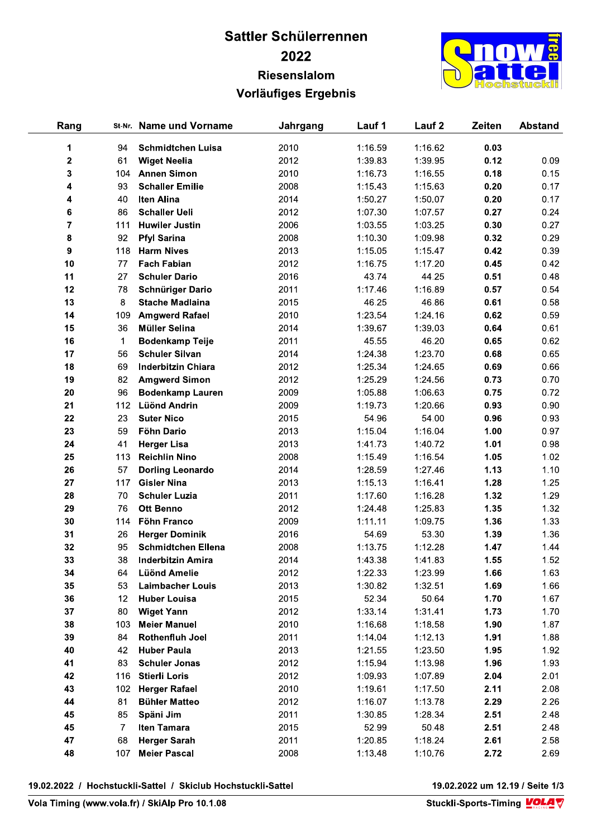## Sattler Schülerrennen 2022 Riesenslalom Vorläufiges Ergebnis



| Rang           |     | St-Nr. Name und Vorname   | Jahrgang | Lauf 1  | Lauf <sub>2</sub> | Zeiten | <b>Abstand</b> |
|----------------|-----|---------------------------|----------|---------|-------------------|--------|----------------|
| 1              | 94  | <b>Schmidtchen Luisa</b>  | 2010     | 1:16.59 | 1:16.62           | 0.03   |                |
| 2              | 61  | <b>Wiget Neelia</b>       | 2012     | 1:39.83 | 1:39.95           | 0.12   | 0.09           |
| 3              | 104 | <b>Annen Simon</b>        | 2010     | 1:16.73 | 1:16.55           | 0.18   | 0.15           |
| 4              | 93  | <b>Schaller Emilie</b>    | 2008     | 1:15.43 | 1:15.63           | 0.20   | 0.17           |
| 4              | 40  | Iten Alina                | 2014     | 1:50.27 | 1:50.07           | 0.20   | 0.17           |
| 6              | 86  | <b>Schaller Ueli</b>      | 2012     | 1:07.30 | 1:07.57           | 0.27   | 0.24           |
| $\overline{7}$ | 111 | <b>Huwiler Justin</b>     | 2006     | 1:03.55 | 1:03.25           | 0.30   | 0.27           |
| 8              | 92  | <b>Pfyl Sarina</b>        | 2008     | 1:10.30 | 1:09.98           | 0.32   | 0.29           |
| 9              | 118 | <b>Harm Nives</b>         | 2013     | 1:15.05 | 1:15.47           | 0.42   | 0.39           |
|                | 77  | <b>Fach Fabian</b>        | 2012     | 1:16.75 | 1:17.20           | 0.45   | 0.42           |
| 10<br>11       |     |                           | 2016     |         |                   |        |                |
|                | 27  | <b>Schuler Dario</b>      |          | 43.74   | 44.25             | 0.51   | 0.48           |
| 12             | 78  | <b>Schnüriger Dario</b>   | 2011     | 1:17.46 | 1:16.89           | 0.57   | 0.54           |
| 13             | 8   | <b>Stache Madlaina</b>    | 2015     | 46.25   | 46.86             | 0.61   | 0.58           |
| 14             | 109 | <b>Amgwerd Rafael</b>     | 2010     | 1:23.54 | 1:24.16           | 0.62   | 0.59           |
| 15             | 36  | <b>Müller Selina</b>      | 2014     | 1:39.67 | 1:39.03           | 0.64   | 0.61           |
| 16             | 1   | <b>Bodenkamp Teije</b>    | 2011     | 45.55   | 46.20             | 0.65   | 0.62           |
| 17             | 56  | <b>Schuler Silvan</b>     | 2014     | 1:24.38 | 1:23.70           | 0.68   | 0.65           |
| 18             | 69  | <b>Inderbitzin Chiara</b> | 2012     | 1:25.34 | 1:24.65           | 0.69   | 0.66           |
| 19             | 82  | <b>Amgwerd Simon</b>      | 2012     | 1:25.29 | 1:24.56           | 0.73   | 0.70           |
| 20             | 96  | <b>Bodenkamp Lauren</b>   | 2009     | 1:05.88 | 1:06.63           | 0.75   | 0.72           |
| 21             | 112 | <b>Lüönd Andrin</b>       | 2009     | 1:19.73 | 1:20.66           | 0.93   | 0.90           |
| 22             | 23  | <b>Suter Nico</b>         | 2015     | 54.96   | 54.00             | 0.96   | 0.93           |
| 23             | 59  | <b>Föhn Dario</b>         | 2013     | 1:15.04 | 1:16.04           | 1.00   | 0.97           |
| 24             | 41  | <b>Herger Lisa</b>        | 2013     | 1:41.73 | 1:40.72           | 1.01   | 0.98           |
| 25             | 113 | <b>Reichlin Nino</b>      | 2008     | 1:15.49 | 1:16.54           | 1.05   | 1.02           |
| 26             | 57  | <b>Dorling Leonardo</b>   | 2014     | 1:28.59 | 1:27.46           | 1.13   | 1.10           |
| 27             | 117 | <b>Gisler Nina</b>        | 2013     | 1:15.13 | 1:16.41           | 1.28   | 1.25           |
| 28             | 70  | <b>Schuler Luzia</b>      | 2011     | 1:17.60 | 1:16.28           | 1.32   | 1.29           |
| 29             | 76  | <b>Ott Benno</b>          | 2012     | 1:24.48 | 1:25.83           | 1.35   | 1.32           |
| 30             | 114 | Föhn Franco               | 2009     | 1:11.11 | 1:09.75           | 1.36   | 1.33           |
| 31             | 26  | <b>Herger Dominik</b>     | 2016     | 54.69   | 53.30             | 1.39   | 1.36           |
| 32             | 95  | <b>Schmidtchen Ellena</b> | 2008     | 1:13.75 | 1:12.28           | 1.47   | 1.44           |
| 33             | 38  | <b>Inderbitzin Amira</b>  | 2014     | 1:43.38 | 1:41.83           | 1.55   | 1.52           |
| 34             | 64  | <b>Lüönd Amelie</b>       | 2012     | 1:22.33 | 1:23.99           | 1.66   | 1.63           |
| 35             | 53  | <b>Laimbacher Louis</b>   | 2013     | 1:30.82 | 1:32.51           | 1.69   | 1.66           |
| 36             | 12  | <b>Huber Louisa</b>       | 2015     | 52.34   | 50.64             | 1.70   | 1.67           |
| 37             | 80  | <b>Wiget Yann</b>         | 2012     | 1:33.14 | 1:31.41           | 1.73   | 1.70           |
| 38             | 103 | <b>Meier Manuel</b>       | 2010     | 1:16.68 | 1:18.58           | 1.90   | 1.87           |
| 39             | 84  | Rothenfluh Joel           | 2011     | 1:14.04 | 1:12.13           | 1.91   | 1.88           |
| 40             | 42  | <b>Huber Paula</b>        | 2013     | 1:21.55 | 1:23.50           | 1.95   | 1.92           |
| 41             | 83  | <b>Schuler Jonas</b>      | 2012     | 1:15.94 | 1:13.98           | 1.96   | 1.93           |
| 42             | 116 | <b>Stierli Loris</b>      | 2012     | 1:09.93 | 1:07.89           | 2.04   | 2.01           |
| 43             | 102 | <b>Herger Rafael</b>      | 2010     | 1:19.61 | 1:17.50           | 2.11   | 2.08           |
| 44             | 81  | <b>Bühler Matteo</b>      | 2012     | 1:16.07 | 1:13.78           | 2.29   | 2.26           |
| 45             | 85  | Späni Jim                 | 2011     | 1:30.85 | 1:28.34           | 2.51   | 2.48           |
| 45             | 7   | Iten Tamara               | 2015     | 52.99   | 50.48             | 2.51   | 2.48           |
| 47             | 68  | <b>Herger Sarah</b>       | 2011     | 1:20.85 | 1:18.24           | 2.61   | 2.58           |
| 48             | 107 | <b>Meier Pascal</b>       | 2008     | 1:13.48 | 1:10.76           | 2.72   | 2.69           |

19.02.2022 / Hochstuckli-Sattel / Skiclub Hochstuckli-Sattel

19.02.2022 um 12.19 / Seite 1/3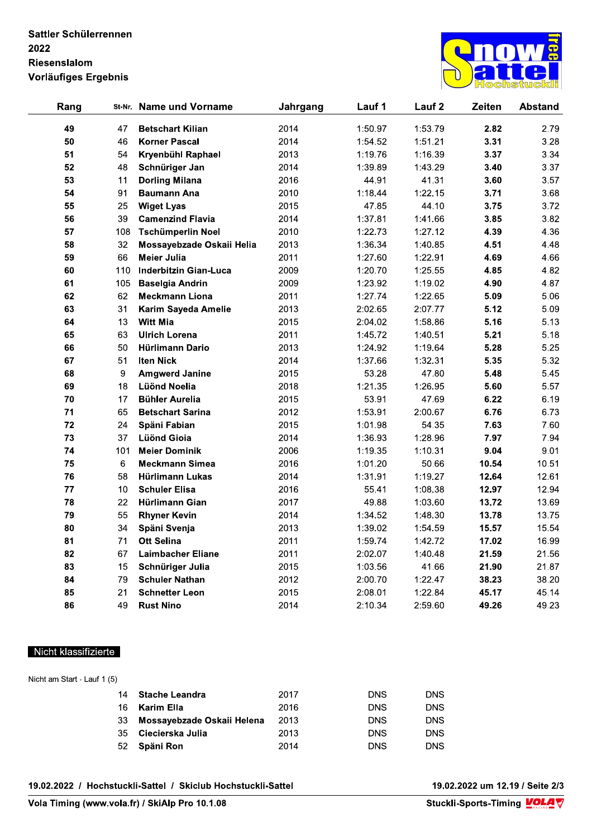

| Rang |     | St-Nr. Name und Vorname      | Jahrgang | Lauf 1  | Lauf <sub>2</sub> | Zeiten | <b>Abstand</b> |
|------|-----|------------------------------|----------|---------|-------------------|--------|----------------|
| 49   | 47  | <b>Betschart Kilian</b>      | 2014     | 1:50.97 | 1:53.79           | 2.82   | 2.79           |
| 50   | 46  | <b>Korner Pascal</b>         | 2014     | 1:54.52 | 1:51.21           | 3.31   | 3.28           |
| 51   | 54  | Kryenbühl Raphael            | 2013     | 1:19.76 | 1:16.39           | 3.37   | 3.34           |
| 52   | 48  | Schnüriger Jan               | 2014     | 1:39.89 | 1:43.29           | 3.40   | 3.37           |
| 53   | 11  | <b>Dorling Milana</b>        | 2016     | 44.91   | 41.31             | 3.60   | 3.57           |
| 54   | 91  | <b>Baumann Ana</b>           | 2010     | 1:18.44 | 1:22.15           | 3.71   | 3.68           |
| 55   | 25  | <b>Wiget Lyas</b>            | 2015     | 47.85   | 44.10             | 3.75   | 3.72           |
| 56   | 39  | <b>Camenzind Flavia</b>      | 2014     | 1:37.81 | 1:41.66           | 3.85   | 3.82           |
| 57   | 108 | <b>Tschümperlin Noel</b>     | 2010     | 1:22.73 | 1:27.12           | 4.39   | 4.36           |
| 58   | 32  | Mossayebzade Oskaii Helia    | 2013     | 1:36.34 | 1:40.85           | 4.51   | 4.48           |
| 59   | 66  | Meier Julia                  | 2011     | 1:27.60 | 1:22.91           | 4.69   | 4.66           |
| 60   | 110 | <b>Inderbitzin Gian-Luca</b> | 2009     | 1:20.70 | 1:25.55           | 4.85   | 4.82           |
| 61   | 105 | <b>Baselgia Andrin</b>       | 2009     | 1:23.92 | 1:19.02           | 4.90   | 4.87           |
| 62   | 62  | <b>Meckmann Liona</b>        | 2011     | 1:27.74 | 1:22.65           | 5.09   | 5.06           |
| 63   | 31  | Karim Sayeda Amelie          | 2013     | 2:02.65 | 2:07.77           | 5.12   | 5.09           |
| 64   | 13  | <b>Witt Mia</b>              | 2015     | 2:04.02 | 1:58.86           | 5.16   | 5.13           |
| 65   | 63  | <b>Ulrich Lorena</b>         | 2011     | 1:45.72 | 1:40.51           | 5.21   | 5.18           |
| 66   | 50  | Hürlimann Dario              | 2013     | 1:24.92 | 1:19.64           | 5.28   | 5.25           |
| 67   | 51  | <b>Iten Nick</b>             | 2014     | 1:37.66 | 1:32.31           | 5.35   | 5.32           |
| 68   | 9   | <b>Amgwerd Janine</b>        | 2015     | 53.28   | 47.80             | 5.48   | 5.45           |
| 69   | 18  | <b>Lüönd Noelia</b>          | 2018     | 1:21.35 | 1:26.95           | 5.60   | 5.57           |
| 70   | 17  | <b>Bühler Aurelia</b>        | 2015     | 53.91   | 47.69             | 6.22   | 6.19           |
| 71   | 65  | <b>Betschart Sarina</b>      | 2012     | 1:53.91 | 2:00.67           | 6.76   | 6.73           |
| 72   | 24  | Späni Fabian                 | 2015     | 1:01.98 | 54.35             | 7.63   | 7.60           |
| 73   | 37  | <b>Lüönd Gioia</b>           | 2014     | 1:36.93 | 1:28.96           | 7.97   | 7.94           |
| 74   | 101 | <b>Meier Dominik</b>         | 2006     | 1:19.35 | 1:10.31           | 9.04   | 9.01           |
| 75   | 6   | <b>Meckmann Simea</b>        | 2016     | 1:01.20 | 50.66             | 10.54  | 10.51          |
| 76   | 58  | <b>Hürlimann Lukas</b>       | 2014     | 1:31.91 | 1:19.27           | 12.64  | 12.61          |
| 77   | 10  | <b>Schuler Elisa</b>         | 2016     | 55.41   | 1:08.38           | 12.97  | 12.94          |
| 78   | 22  | Hürlimann Gian               | 2017     | 49.88   | 1:03.60           | 13.72  | 13.69          |
| 79   | 55  | <b>Rhyner Kevin</b>          | 2014     | 1:34.52 | 1:48.30           | 13.78  | 13.75          |
| 80   | 34  | Späni Svenja                 | 2013     | 1:39.02 | 1:54.59           | 15.57  | 15.54          |
| 81   | 71  | <b>Ott Selina</b>            | 2011     | 1:59.74 | 1:42.72           | 17.02  | 16.99          |
| 82   | 67  | <b>Laimbacher Eliane</b>     | 2011     | 2:02.07 | 1:40.48           | 21.59  | 21.56          |
| 83   | 15  | Schnüriger Julia             | 2015     | 1:03.56 | 41.66             | 21.90  | 21.87          |
| 84   | 79  | <b>Schuler Nathan</b>        | 2012     | 2:00.70 | 1:22.47           | 38.23  | 38.20          |
| 85   | 21  | <b>Schnetter Leon</b>        | 2015     | 2:08.01 | 1:22.84           | 45.17  | 45.14          |
| 86   | 49  | <b>Rust Nino</b>             | 2014     | 2:10.34 | 2:59.60           | 49.26  | 49.23          |

#### Nicht klassifizierte

| Nicht am Start - Lauf 1 (5) |                            |      |            |            |
|-----------------------------|----------------------------|------|------------|------------|
| 14                          | <b>Stache Leandra</b>      | 2017 | <b>DNS</b> | <b>DNS</b> |
| 16                          | Karim Ella                 | 2016 | <b>DNS</b> | <b>DNS</b> |
| 33                          | Mossayebzade Oskaii Helena | 2013 | <b>DNS</b> | <b>DNS</b> |
| 35                          | Ciecierska Julia           | 2013 | <b>DNS</b> | <b>DNS</b> |
| 52                          | Späni Ron                  | 2014 | <b>DNS</b> | <b>DNS</b> |

19.02.2022 / Hochstuckli-Sattel / Skiclub Hochstuckli-Sattel

19.02.2022 um 12.19 / Seite 2/3